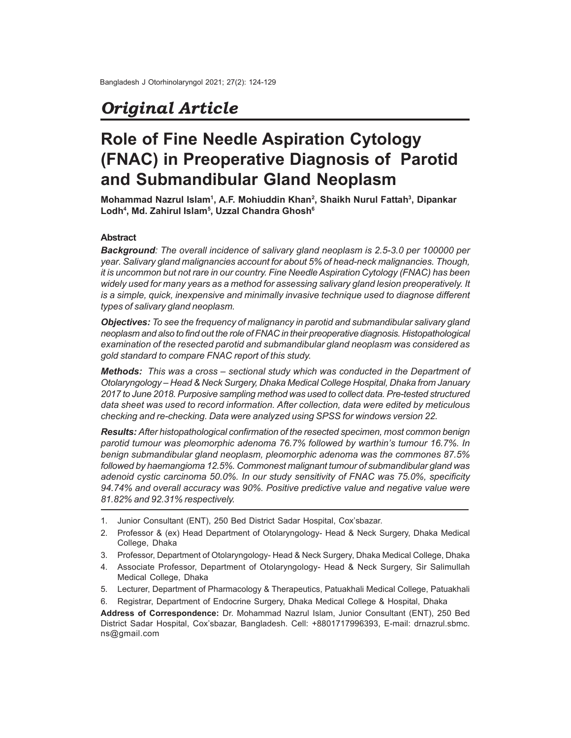## *Original Article*

# **Role of Fine Needle Aspiration Cytology (FNAC) in Preoperative Diagnosis of Parotid and Submandibular Gland Neoplasm**

**Mohammad Nazrul Islam<sup>1</sup> , A.F. Mohiuddin Khan<sup>2</sup> , Shaikh Nurul Fattah<sup>3</sup> , Dipankar Lodh<sup>4</sup> , Md. Zahirul Islam<sup>5</sup> , Uzzal Chandra Ghosh<sup>6</sup>**

### **Abstract**

*Background: The overall incidence of salivary gland neoplasm is 2.5-3.0 per 100000 per year. Salivary gland malignancies account for about 5% of head-neck malignancies. Though, it is uncommon but not rare in our country. Fine Needle Aspiration Cytology (FNAC) has been widely used for many years as a method for assessing salivary gland lesion preoperatively. It is a simple, quick, inexpensive and minimally invasive technique used to diagnose different types of salivary gland neoplasm.*

*Objectives: To see the frequency of malignancy in parotid and submandibular salivary gland neoplasm and also to find out the role of FNAC in their preoperative diagnosis. Histopathological examination of the resected parotid and submandibular gland neoplasm was considered as gold standard to compare FNAC report of this study.*

*Methods: This was a cross – sectional study which was conducted in the Department of Otolaryngology – Head & Neck Surgery, Dhaka Medical College Hospital, Dhaka from January 2017 to June 2018. Purposive sampling method was used to collect data. Pre-tested structured data sheet was used to record information. After collection, data were edited by meticulous checking and re-checking. Data were analyzed using SPSS for windows version 22.*

*Results: After histopathological confirmation of the resected specimen, most common benign parotid tumour was pleomorphic adenoma 76.7% followed by warthin's tumour 16.7%. In benign submandibular gland neoplasm, pleomorphic adenoma was the commones 87.5% followed by haemangioma 12.5%. Commonest malignant tumour of submandibular gland was adenoid cystic carcinoma 50.0%. In our study sensitivity of FNAC was 75.0%, specificity 94.74% and overall accuracy was 90%. Positive predictive value and negative value were 81.82% and 92.31% respectively.*

- 1. Junior Consultant (ENT), 250 Bed District Sadar Hospital, Cox'sbazar.
- 2. Professor & (ex) Head Department of Otolaryngology- Head & Neck Surgery, Dhaka Medical College, Dhaka
- 3. Professor, Department of Otolaryngology- Head & Neck Surgery, Dhaka Medical College, Dhaka
- 4. Associate Professor, Department of Otolaryngology- Head & Neck Surgery, Sir Salimullah Medical College, Dhaka
- 5. Lecturer, Department of Pharmacology & Therapeutics, Patuakhali Medical College, Patuakhali
- 6. Registrar, Department of Endocrine Surgery, Dhaka Medical College & Hospital, Dhaka

**Address of Correspondence:** Dr. Mohammad Nazrul Islam, Junior Consultant (ENT), 250 Bed District Sadar Hospital, Cox'sbazar, Bangladesh. Cell: +8801717996393, E-mail: drnazrul.sbmc. ns@gmail.com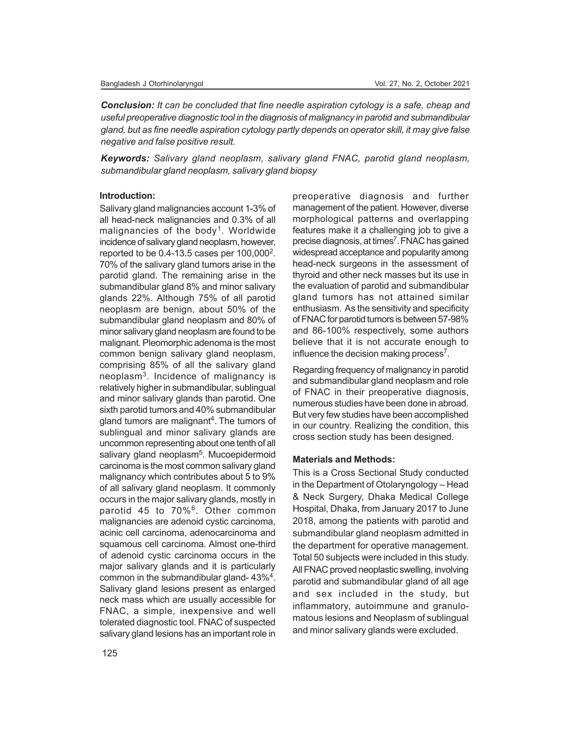*Conclusion: It can be concluded that fine needle aspiration cytology is a safe, cheap and useful preoperative diagnostic tool in the diagnosis of malignancy in parotid and submandibular gland, but as fine needle aspiration cytology partly depends on operator skill, it may give false negative and false positive result.*

*Keywords: Salivary gland neoplasm, salivary gland FNAC, parotid gland neoplasm, submandibular gland neoplasm, salivary gland biopsy*

#### **Introduction:**

Salivary gland malignancies account 1-3% of all head-neck malignancies and 0.3% of all malignancies of the body<sup>1</sup>. Worldwide incidence of salivary gland neoplasm, however, reported to be  $0.4$ -13.5 cases per 100,000 $^2$ . 70% of the salivary gland tumors arise in the parotid gland. The remaining arise in the submandibular gland 8% and minor salivary glands 22%. Although 75% of all parotid neoplasm are benign, about 50% of the submandibular gland neoplasm and 80% of minor salivary gland neoplasm are found to be malignant. Pleomorphic adenoma is the most common benign salivary gland neoplasm, comprising 85% of all the salivary gland neoplasm<sup>3</sup> . Incidence of malignancy is relatively higher in submandibular, sublingual and minor salivary glands than parotid. One sixth parotid tumors and 40% submandibular gland tumors are malignant<sup>4</sup>. The tumors of sublingual and minor salivary glands are uncommon representing about one tenth of all salivary gland neoplasm<sup>5</sup>. Mucoepidermoid carcinoma is the most common salivary gland malignancy which contributes about 5 to 9% of all salivary gland neoplasm. It commonly occurs in the major salivary glands, mostly in parotid 45 to 70%<sup>6</sup> . Other common malignancies are adenoid cystic carcinoma, acinic cell carcinoma, adenocarcinoma and squamous cell carcinoma. Almost one-third of adenoid cystic carcinoma occurs in the major salivary glands and it is particularly common in the submandibular gland- 43%<sup>4</sup>. Salivary gland lesions present as enlarged neck mass which are usually accessible for FNAC, a simple, inexpensive and well tolerated diagnostic tool. FNAC of suspected salivary gland lesions has an important role in preoperative diagnosis and further management of the patient. However, diverse morphological patterns and overlapping features make it a challenging job to give a precise diagnosis, at times<sup>7</sup>. FNAC has gained widespread acceptance and popularity among head-neck surgeons in the assessment of thyroid and other neck masses but its use in the evaluation of parotid and submandibular gland tumors has not attained similar enthusiasm. As the sensitivity and specificity of FNAC for parotid tumors is between 57-98% and 86-100% respectively, some authors believe that it is not accurate enough to influence the decision making process<sup>7</sup>.

Regarding frequency of malignancy in parotid and submandibular gland neoplasm and role of FNAC in their preoperative diagnosis, numerous studies have been done in abroad. But very few studies have been accomplished in our country. Realizing the condition, this cross section study has been designed.

#### **Materials and Methods:**

This is a Cross Sectional Study conducted in the Department of Otolaryngology – Head & Neck Surgery, Dhaka Medical College Hospital, Dhaka, from January 2017 to June 2018, among the patients with parotid and submandibular gland neoplasm admitted in the department for operative management. Total 50 subjects were included in this study. All FNAC proved neoplastic swelling, involving parotid and submandibular gland of all age and sex included in the study, but inflammatory, autoimmune and granulomatous lesions and Neoplasm of sublingual and minor salivary glands were excluded.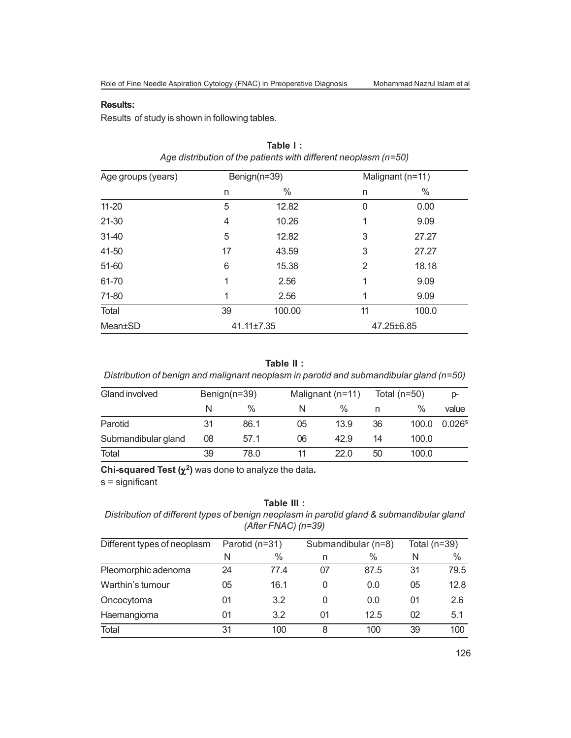#### **Results:**

Results of study is shown in following tables.

| Age groups (years) | Benign(n=39) |        | Malignant (n=11) |       |  |
|--------------------|--------------|--------|------------------|-------|--|
|                    | n            | $\%$   | n                | $\%$  |  |
| $11 - 20$          | 5            | 12.82  | 0                | 0.00  |  |
| 21-30              | 4            | 10.26  | 1                | 9.09  |  |
| 31-40              | 5            | 12.82  | 3                | 27.27 |  |
| 41-50              | 17           | 43.59  | 3                | 27.27 |  |
| 51-60              | 6            | 15.38  | 2                | 18.18 |  |
| 61-70              | 1            | 2.56   | 1                | 9.09  |  |
| 71-80              | 1            | 2.56   | 1                | 9.09  |  |
| Total              | 39           | 100.00 | 11               | 100.0 |  |
| Mean±SD            | 41.11±7.35   |        | 47.25±6.85       |       |  |

## **Table I :** *Age distribution of the patients with different neoplasm (n=50)*

**Table II :**

*Distribution of benign and malignant neoplasm in parotid and submandibular gland (n=50)*

| Gland involved      | Benign $(n=39)$ |               | Malignant (n=11) |      |    | Total ( $n=50$ ) |                      |
|---------------------|-----------------|---------------|------------------|------|----|------------------|----------------------|
|                     | N               | $\frac{0}{0}$ | N                | %    | n  | %                | value                |
| Parotid             | 31              | 86.1          | 05               | 13.9 | 36 | 100.0            | $0.026$ <sup>s</sup> |
| Submandibular gland | 08              | 57.1          | 06               | 42.9 | 14 | 100.0            |                      |
| Total               | 39              | 78.0          | 11               | 22.0 | 50 | 100.0            |                      |

**Chi-squared Test**  $(\chi^2)$  was done to analyze the data.

s = significant

## **Table III :**

*Distribution of different types of benign neoplasm in parotid gland & submandibular gland (After FNAC) (n=39)*

| Different types of neoplasm | Parotid (n=31) |      |    | Submandibular (n=8) | Total $(n=39)$ |      |
|-----------------------------|----------------|------|----|---------------------|----------------|------|
|                             | N              | $\%$ | n  | $\%$                | N              | $\%$ |
| Pleomorphic adenoma         | 24             | 77.4 | 07 | 87.5                | 31             | 79.5 |
| Warthin's tumour            | 05             | 16.1 | 0  | 0.0                 | 05             | 12.8 |
| Oncocytoma                  | 01             | 3.2  | 0  | 0.0                 | 01             | 2.6  |
| Haemangioma                 | 01             | 3.2  | 01 | 12.5                | 02             | 5.1  |
| Total                       | 31             | 100  | 8  | 100                 | 39             | 100  |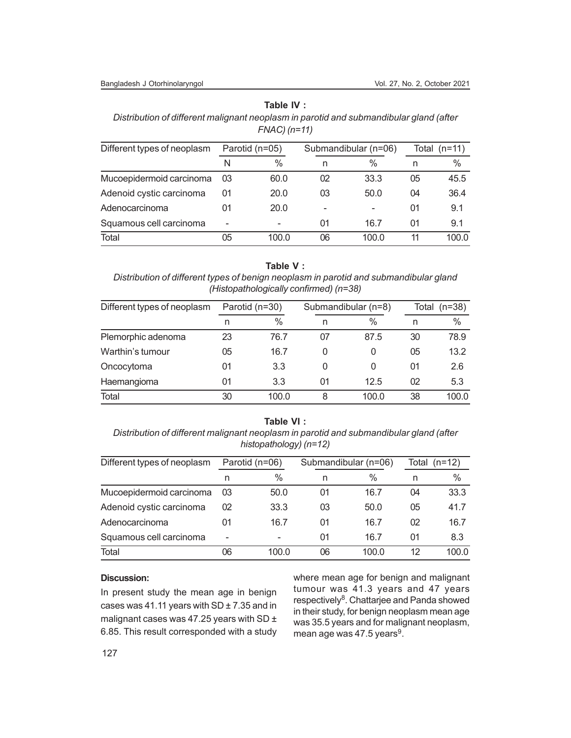#### **Table IV :**

*Distribution of different malignant neoplasm in parotid and submandibular gland (after FNAC) (n=11)*

| Different types of neoplasm | Parotid (n=05) |       |                          | Submandibular (n=06) | Total (n=11) |       |
|-----------------------------|----------------|-------|--------------------------|----------------------|--------------|-------|
|                             |                | $\%$  | n                        | $\%$                 | n            | $\%$  |
| Mucoepidermoid carcinoma    | 03             | 60.0  | 02                       | 33.3                 | 05           | 45.5  |
| Adenoid cystic carcinoma    | 01             | 20.0  | 03                       | 50.0                 | 04           | 36.4  |
| Adenocarcinoma              | 01             | 20.0  | $\overline{\phantom{0}}$ |                      | 01           | 9.1   |
| Squamous cell carcinoma     | -              | -     | 01                       | 16.7                 | 01           | 9.1   |
| Total                       | 05             | 100.0 | 06                       | 100.0                | 11           | 100.0 |

## **Table V :**

*Distribution of different types of benign neoplasm in parotid and submandibular gland (Histopathologically confirmed) (n=38)*

| Different types of neoplasm | Parotid (n=30) |       |    | Submandibular (n=8) | Total<br>$(n=38)$ |       |
|-----------------------------|----------------|-------|----|---------------------|-------------------|-------|
|                             | n              | $\%$  | n  | $\%$                | n                 | $\%$  |
| Plemorphic adenoma          | 23             | 76.7  | 07 | 87.5                | 30                | 78.9  |
| Warthin's tumour            | 05             | 16.7  |    | 0                   | 05                | 13.2  |
| Oncocytoma                  | 01             | 3.3   |    | 0                   | 01                | 2.6   |
| Haemangioma                 | 01             | 3.3   | 01 | 12.5                | 02                | 5.3   |
| Total                       | 30             | 100.0 | 8  | 100.0               | 38                | 100.0 |

## **Table VI :**

*Distribution of different malignant neoplasm in parotid and submandibular gland (after histopathology) (n=12)*

| Different types of neoplasm | Parotid (n=06) |       |    | Submandibular (n=06) | Total $(n=12)$ |       |
|-----------------------------|----------------|-------|----|----------------------|----------------|-------|
|                             | n              | $\%$  | n  | %                    | n              | %     |
| Mucoepidermoid carcinoma    | 03             | 50.0  | 01 | 16.7                 | 04             | 33.3  |
| Adenoid cystic carcinoma    | 02             | 33.3  | 03 | 50.0                 | 05             | 41.7  |
| Adenocarcinoma              | 01             | 16.7  | 01 | 16.7                 | 02             | 16.7  |
| Squamous cell carcinoma     |                |       | 01 | 16.7                 | 01             | 8.3   |
| Total                       | 06             | 100.0 | 06 | 100.0                | 12             | 100.0 |

#### **Discussion:**

In present study the mean age in benign cases was 41.11 years with  $SD \pm 7.35$  and in malignant cases was 47.25 years with SD ± 6.85. This result corresponded with a study where mean age for benign and malignant tumour was 41.3 years and 47 years respectively<sup>8</sup>. Chattarjee and Panda showed in their study, for benign neoplasm mean age was 35.5 years and for malignant neoplasm, mean age was 47.5 years $9$ .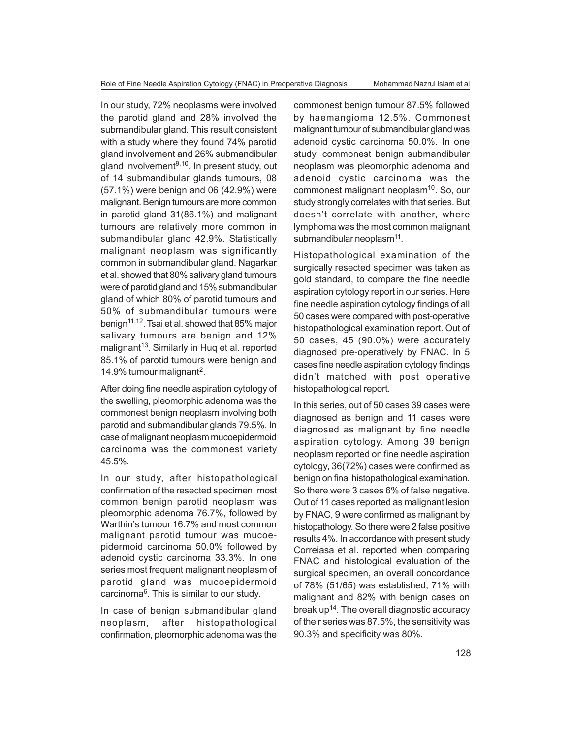In our study, 72% neoplasms were involved the parotid gland and 28% involved the submandibular gland. This result consistent with a study where they found 74% parotid gland involvement and 26% submandibular gland involvement<sup>9,10</sup>. In present study, out of 14 submandibular glands tumours, 08 (57.1%) were benign and 06 (42.9%) were malignant. Benign tumours are more common in parotid gland 31(86.1%) and malignant tumours are relatively more common in submandibular gland 42.9%. Statistically malignant neoplasm was significantly common in submandibular gland. Nagarkar et al. showed that 80% salivary gland tumours were of parotid gland and 15% submandibular gland of which 80% of parotid tumours and 50% of submandibular tumours were benign<sup>11,12</sup>. Tsai et al. showed that 85% major salivary tumours are benign and 12% malignant<sup>13</sup>. Similarly in Huq et al. reported 85.1% of parotid tumours were benign and 14.9% tumour malignant<sup>2</sup>.

After doing fine needle aspiration cytology of the swelling, pleomorphic adenoma was the commonest benign neoplasm involving both parotid and submandibular glands 79.5%. In case of malignant neoplasm mucoepidermoid carcinoma was the commonest variety 45.5%.

In our study, after histopathological confirmation of the resected specimen, most common benign parotid neoplasm was pleomorphic adenoma 76.7%, followed by Warthin's tumour 16.7% and most common malignant parotid tumour was mucoepidermoid carcinoma 50.0% followed by adenoid cystic carcinoma 33.3%. In one series most frequent malignant neoplasm of parotid gland was mucoepidermoid carcinoma<sup>6</sup> . This is similar to our study.

In case of benign submandibular gland neoplasm, after histopathological confirmation, pleomorphic adenoma was the

commonest benign tumour 87.5% followed by haemangioma 12.5%. Commonest malignant tumour of submandibular gland was adenoid cystic carcinoma 50.0%. In one study, commonest benign submandibular neoplasm was pleomorphic adenoma and adenoid cystic carcinoma was the commonest malignant neoplasm<sup>10</sup>. So, our study strongly correlates with that series. But doesn't correlate with another, where lymphoma was the most common malignant  $sub$ mandibular neopla $\,$ sm $^{11}$ .

Histopathological examination of the surgically resected specimen was taken as gold standard, to compare the fine needle aspiration cytology report in our series. Here fine needle aspiration cytology findings of all 50 cases were compared with post-operative histopathological examination report. Out of 50 cases, 45 (90.0%) were accurately diagnosed pre-operatively by FNAC. In 5 cases fine needle aspiration cytology findings didn't matched with post operative histopathological report.

In this series, out of 50 cases 39 cases were diagnosed as benign and 11 cases were diagnosed as malignant by fine needle aspiration cytology. Among 39 benign neoplasm reported on fine needle aspiration cytology, 36(72%) cases were confirmed as benign on final histopathological examination. So there were 3 cases 6% of false negative. Out of 11 cases reported as malignant lesion by FNAC, 9 were confirmed as malignant by histopathology. So there were 2 false positive results 4%. In accordance with present study Correiasa et al. reported when comparing FNAC and histological evaluation of the surgical specimen, an overall concordance of 78% (51/65) was established, 71% with malignant and 82% with benign cases on break up<sup>14</sup>. The overall diagnostic accuracy of their series was 87.5%, the sensitivity was 90.3% and specificity was 80%.